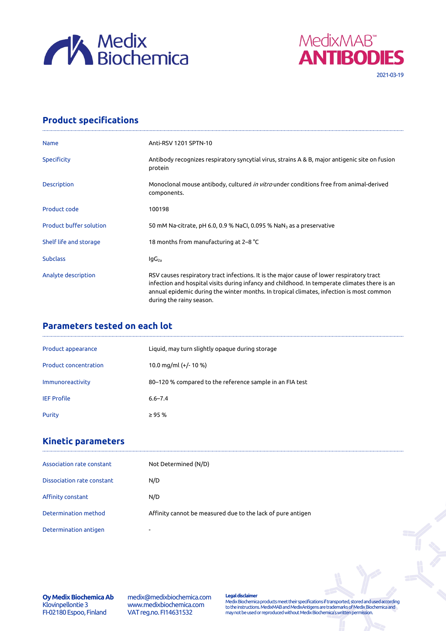



## **Product specifications**

| <b>Name</b>                    | Anti-RSV 1201 SPTN-10                                                                                                                                                                                                                                                                                              |
|--------------------------------|--------------------------------------------------------------------------------------------------------------------------------------------------------------------------------------------------------------------------------------------------------------------------------------------------------------------|
| Specificity                    | Antibody recognizes respiratory syncytial virus, strains A & B, major antigenic site on fusion<br>protein                                                                                                                                                                                                          |
| <b>Description</b>             | Monoclonal mouse antibody, cultured <i>in vitro</i> under conditions free from animal-derived<br>components.                                                                                                                                                                                                       |
| Product code                   | 100198                                                                                                                                                                                                                                                                                                             |
| <b>Product buffer solution</b> | 50 mM Na-citrate, pH 6.0, 0.9 % NaCl, 0.095 % NaN <sub>3</sub> as a preservative                                                                                                                                                                                                                                   |
| Shelf life and storage         | 18 months from manufacturing at 2-8 °C                                                                                                                                                                                                                                                                             |
| <b>Subclass</b>                | lgG <sub>2a</sub>                                                                                                                                                                                                                                                                                                  |
| Analyte description            | RSV causes respiratory tract infections. It is the major cause of lower respiratory tract<br>infection and hospital visits during infancy and childhood. In temperate climates there is an<br>annual epidemic during the winter months. In tropical climates, infection is most common<br>during the rainy season. |

## **Parameters tested on each lot**

| Product appearance           | Liquid, may turn slightly opaque during storage          |
|------------------------------|----------------------------------------------------------|
| <b>Product concentration</b> | 10.0 mg/ml $(+/- 10 %$                                   |
| Immunoreactivity             | 80-120 % compared to the reference sample in an FIA test |
| <b>IEF Profile</b>           | $6.6 - 7.4$                                              |
| Purity                       | $\geq$ 95 %                                              |

## **Kinetic parameters**

| Association rate constant    | Not Determined (N/D)                                        |
|------------------------------|-------------------------------------------------------------|
| Dissociation rate constant   | N/D                                                         |
| Affinity constant            | N/D                                                         |
| Determination method         | Affinity cannot be measured due to the lack of pure antigen |
| <b>Determination antigen</b> | $\overline{\phantom{0}}$                                    |

**Oy Medix Biochemica Ab** Klovinpellontie 3 FI-02180 Espoo, Finland

medix@medixbiochemica.com www.medixbiochemica.com VAT reg.no. FI14631532

**Legal disclaimer** Medix Biochemica products meet their specifications if transported, stored and used according to the instructions. MedixMAB and MedixAntigens are trademarks of Medix Biochemica and may not be used or reproduced without Medix Biochemica's written permission.